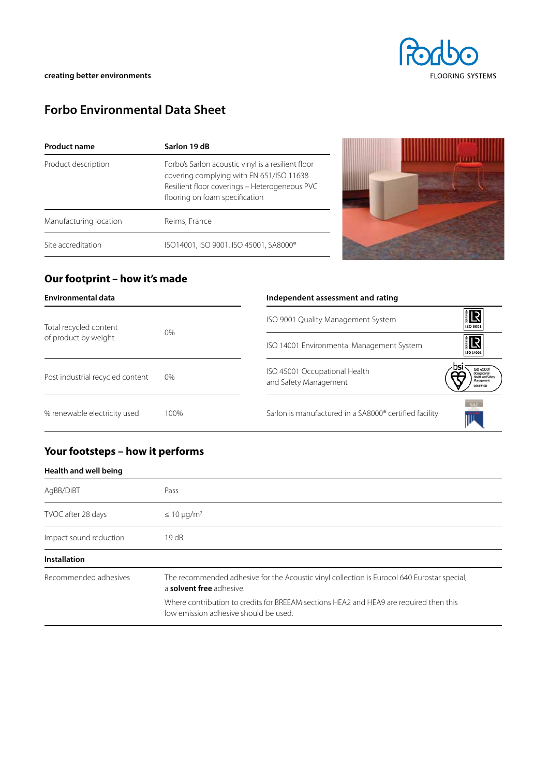# **Forbo Environmental Data Sheet**

| <b>Product name</b>    | Sarlon 19 dB                                                                                                                                                                      |  |  |  |  |
|------------------------|-----------------------------------------------------------------------------------------------------------------------------------------------------------------------------------|--|--|--|--|
| Product description    | Forbo's Sarlon acoustic vinyl is a resilient floor<br>covering complying with EN 651/ISO 11638<br>Resilient floor coverings - Heterogeneous PVC<br>flooring on foam specification |  |  |  |  |
| Manufacturing location | Reims, France                                                                                                                                                                     |  |  |  |  |
| Site accreditation     | ISO14001, ISO 9001, ISO 45001, SA8000®                                                                                                                                            |  |  |  |  |



### **Our footprint – how it's made**

| <b>Environmental data</b>                      |      | Independent assessment and rating                      |                                                   |
|------------------------------------------------|------|--------------------------------------------------------|---------------------------------------------------|
| Total recycled content<br>of product by weight | 0%   | ISO 9001 Quality Management System                     | 旧<br>ISO 9001                                     |
|                                                |      | ISO 14001 Environmental Management System              | <b>IR</b><br>ISO 14001                            |
| Post industrial recycled content               | 0%   | ISO 45001 Occupational Health<br>and Safety Management | <b>ISO 45001</b><br>Managemen<br><b>CERTIFIED</b> |
| % renewable electricity used                   | 100% | Sarlon is manufactured in a SA8000® certified facility | SAI                                               |

## **Your footsteps – how it performs**

#### **Health and well being**

| AgBB/DiBT              | Pass                                                                                                                            |  |  |  |  |
|------------------------|---------------------------------------------------------------------------------------------------------------------------------|--|--|--|--|
| TVOC after 28 days     | $\leq 10 \mu q/m^2$                                                                                                             |  |  |  |  |
| Impact sound reduction | 19 dB                                                                                                                           |  |  |  |  |
| <b>Installation</b>    |                                                                                                                                 |  |  |  |  |
| Recommended adhesives  | The recommended adhesive for the Acoustic vinyl collection is Eurocol 640 Eurostar special,<br>a solvent free adhesive.         |  |  |  |  |
|                        | Where contribution to credits for BREEAM sections HEA2 and HEA9 are required then this<br>low emission adhesive should be used. |  |  |  |  |